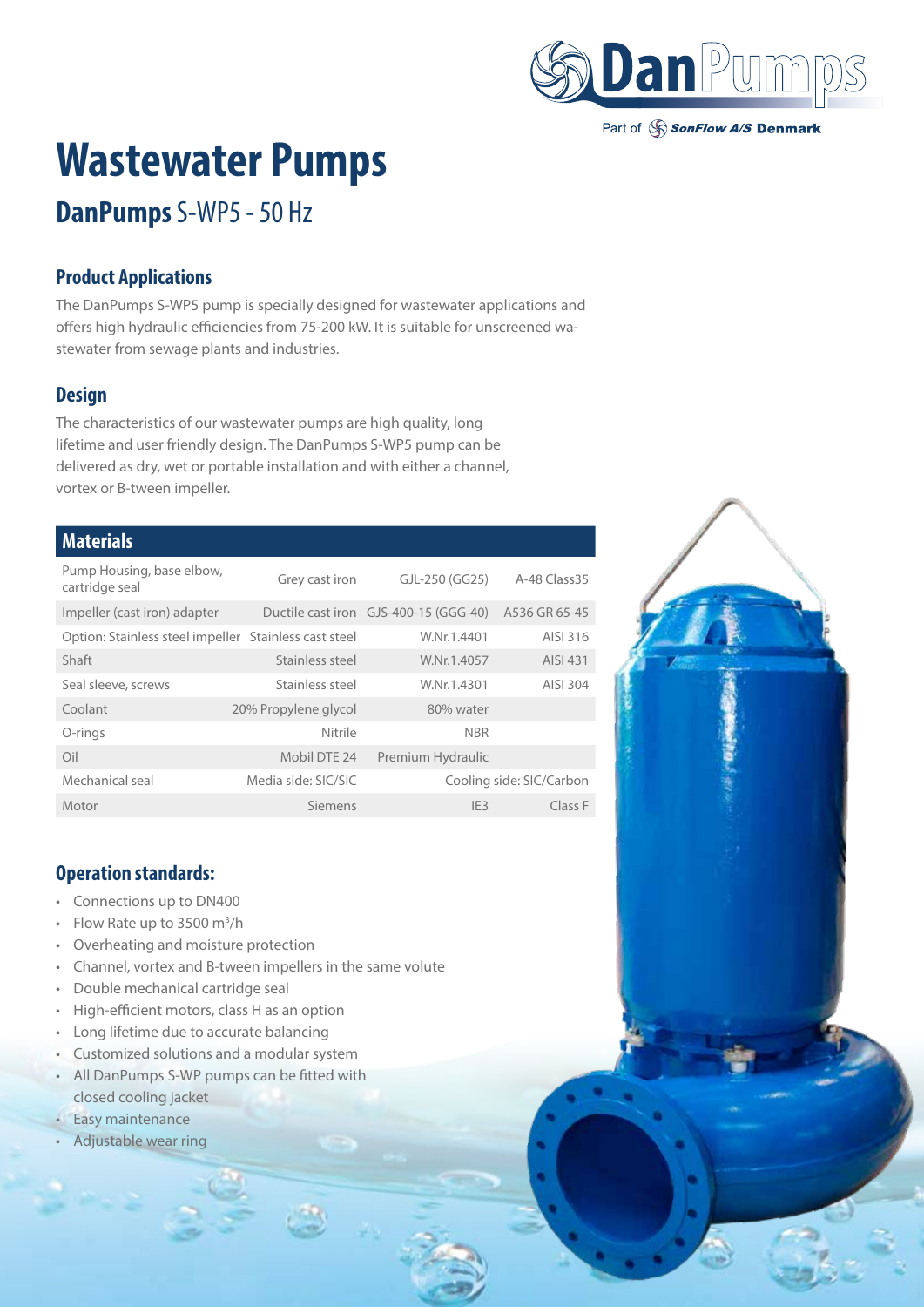

#### Part of SonFlow A/S Denmark

# **Wastewater Pumps**

# **DanPumps** S-WP5 - 50 Hz

### **Product Applications**

The DanPumps S-WP5 pump is specially designed for wastewater applications and offers high hydraulic efficiencies from 75-200 kW. It is suitable for unscreened wastewater from sewage plants and industries.

## **Design**

The characteristics of our wastewater pumps are high quality, long lifetime and user friendly design. The DanPumps S-WP5 pump can be delivered as dry, wet or portable installation and with either a channel, vortex or B-tween impeller.

#### **Materials**

| Pump Housing, base elbow,<br>cartridge seal           | Grey cast iron       | GJL-250 (GG25)                        | A-48 Class 35            |
|-------------------------------------------------------|----------------------|---------------------------------------|--------------------------|
| Impeller (cast iron) adapter                          |                      | Ductile cast iron GJS-400-15 (GGG-40) | A536 GR 65-45            |
| Option: Stainless steel impeller Stainless cast steel |                      | W.Nr.1.4401                           | AISI 316                 |
| Shaft                                                 | Stainless steel      | W.Nr.1.4057                           | AISI 431                 |
| Seal sleeve, screws                                   | Stainless steel      | W.Nr.1.4301                           | AISI 304                 |
| Coolant                                               | 20% Propylene glycol | 80% water                             |                          |
| O-rings                                               | Nitrile              | <b>NBR</b>                            |                          |
| Oil                                                   | Mobil DTE 24         | Premium Hydraulic                     |                          |
| Mechanical seal                                       | Media side: SIC/SIC  |                                       | Cooling side: SIC/Carbon |
| Motor                                                 | Siemens              | IF3                                   | Class F                  |

#### **Operation standards:**

- Connections up to DN400
- Flow Rate up to 3500  $m^3/h$
- Overheating and moisture protection
- Channel, vortex and B-tween impellers in the same volute
- Double mechanical cartridge seal
- High-efficient motors, class H as an option
- Long lifetime due to accurate balancing
- Customized solutions and a modular system
- All DanPumps S-WP pumps can be fitted with closed cooling jacket
- Easy maintenance
- Adjustable wear ring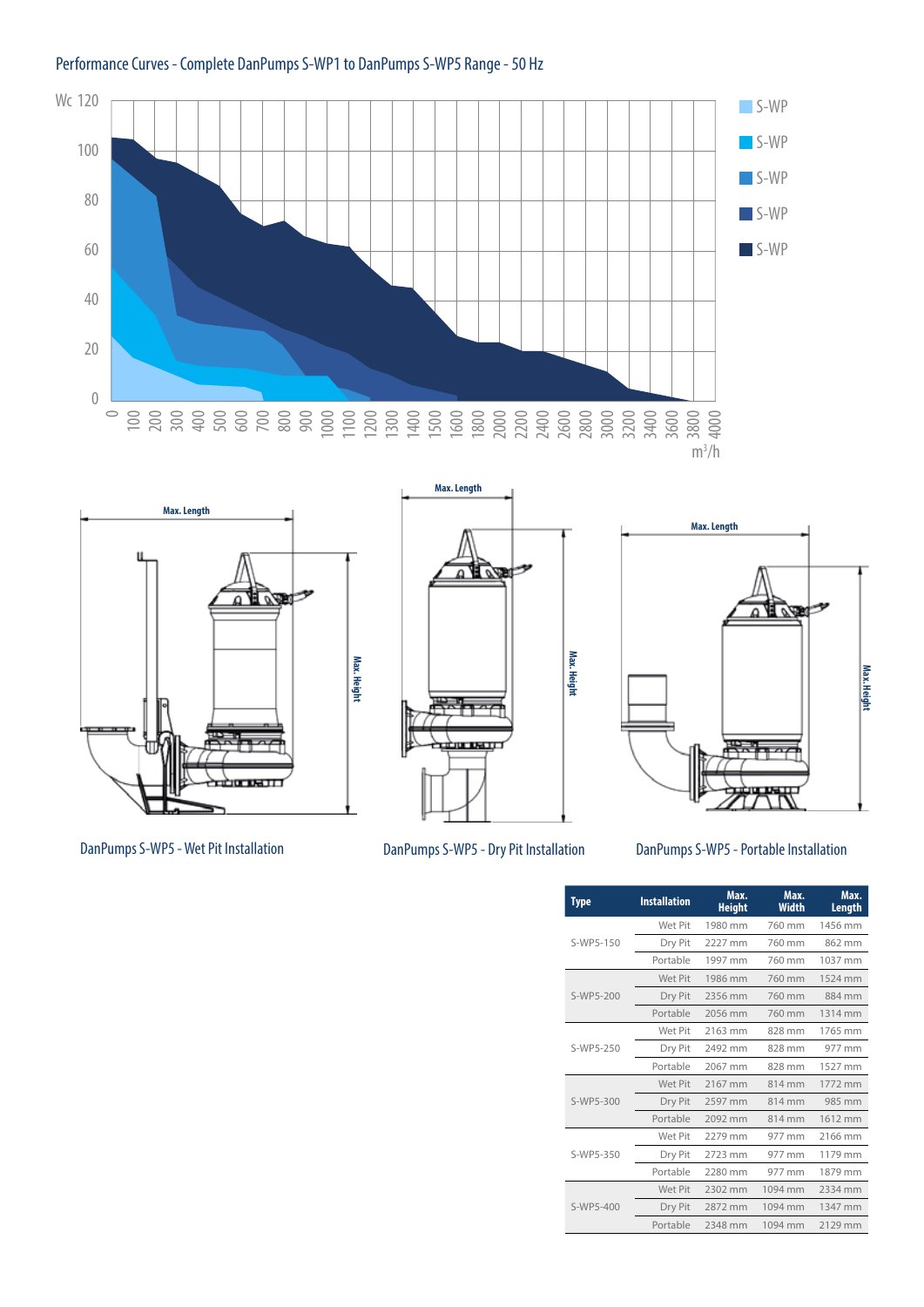



**Max. Length READER Max. Height**





DanPumps S-WP5 - Wet Pit Installation DanPumps S-WP5 - Dry Pit Installation DanPumps S-WP5 - Portable Installation

| Type      | <b>Installation</b> | Max.<br><b>Height</b> | Max.<br>Width | Max.<br>Length |
|-----------|---------------------|-----------------------|---------------|----------------|
|           | Wet Pit             | 1980 mm               | 760 mm        | 1456 mm        |
| S-WP5-150 | Dry Pit             | 2227 mm               | 760 mm        | 862 mm         |
|           | Portable            | 1997 mm               | 760 mm        | 1037 mm        |
|           | Wet Pit             | 1986 mm               | 760 mm        | 1524 mm        |
| S-WP5-200 | Dry Pit             | 2356 mm               | 760 mm        | 884 mm         |
|           | Portable            | 2056 mm               | 760 mm        | 1314 mm        |
|           | Wet Pit             | 2163 mm               | 828 mm        | 1765 mm        |
| S-WP5-250 | Dry Pit             | 2492 mm               | 828 mm        | 977 mm         |
|           | Portable            | 2067 mm               | 828 mm        | 1527 mm        |
|           | Wet Pit             | 2167 mm               | 814 mm        | 1772 mm        |
| S-WP5-300 | Dry Pit             | 2597 mm               | 814 mm        | 985 mm         |
|           | Portable            | 2092 mm               | 814 mm        | 1612 mm        |
|           | Wet Pit             | 2279 mm               | 977 mm        | 2166 mm        |
| S-WP5-350 | Dry Pit             | 2723 mm               | 977 mm        | 1179 mm        |
|           | Portable            | 2280 mm               | 977 mm        | 1879 mm        |
|           | Wet Pit             | 2302 mm               | 1094 mm       | 2334 mm        |
| S-WP5-400 | Dry Pit             | 2872 mm               | 1094 mm       | 1347 mm        |
|           | Portable            | 2348 mm               | 1094 mm       | 2129 mm        |